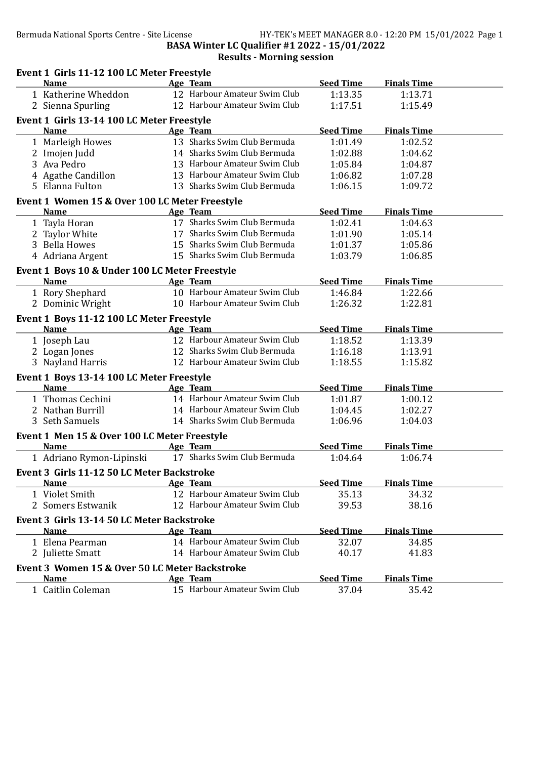| Event 1 Girls 11-12 100 LC Meter Freestyle               |                              |                  |                    |  |
|----------------------------------------------------------|------------------------------|------------------|--------------------|--|
| <b>Name</b>                                              | Age Team                     | <b>Seed Time</b> | <b>Finals Time</b> |  |
| 1 Katherine Wheddon                                      | 12 Harbour Amateur Swim Club | 1:13.35          | 1:13.71            |  |
| 2 Sienna Spurling                                        | 12 Harbour Amateur Swim Club | 1:17.51          | 1:15.49            |  |
| Event 1 Girls 13-14 100 LC Meter Freestyle               |                              |                  |                    |  |
| <b>Name</b>                                              | Age Team                     | <b>Seed Time</b> | <b>Finals Time</b> |  |
| 1 Marleigh Howes                                         | 13 Sharks Swim Club Bermuda  | 1:01.49          | 1:02.52            |  |
| 2 Imojen Judd                                            | 14 Sharks Swim Club Bermuda  | 1:02.88          | 1:04.62            |  |
| 3 Ava Pedro                                              | 13 Harbour Amateur Swim Club | 1:05.84          | 1:04.87            |  |
| 4 Agathe Candillon                                       | 13 Harbour Amateur Swim Club | 1:06.82          | 1:07.28            |  |
| 5 Elanna Fulton                                          | 13 Sharks Swim Club Bermuda  | 1:06.15          | 1:09.72            |  |
| Event 1 Women 15 & Over 100 LC Meter Freestyle           |                              |                  |                    |  |
| <b>Name</b>                                              | Age Team                     | <b>Seed Time</b> | <b>Finals Time</b> |  |
| 1 Tayla Horan                                            | 17 Sharks Swim Club Bermuda  | 1:02.41          | 1:04.63            |  |
| 2 Taylor White                                           | 17 Sharks Swim Club Bermuda  | 1:01.90          | 1:05.14            |  |
| 3 Bella Howes                                            | 15 Sharks Swim Club Bermuda  | 1:01.37          | 1:05.86            |  |
| 4 Adriana Argent                                         | 15 Sharks Swim Club Bermuda  | 1:03.79          | 1:06.85            |  |
| Event 1 Boys 10 & Under 100 LC Meter Freestyle           |                              |                  |                    |  |
| <b>Name</b>                                              | Age Team                     | <b>Seed Time</b> | <b>Finals Time</b> |  |
| 1 Rory Shephard                                          | 10 Harbour Amateur Swim Club | 1:46.84          | 1:22.66            |  |
| 2 Dominic Wright                                         | 10 Harbour Amateur Swim Club | 1:26.32          | 1:22.81            |  |
| Event 1 Boys 11-12 100 LC Meter Freestyle                |                              |                  |                    |  |
| <b>Name</b>                                              | Age Team                     | <b>Seed Time</b> | <b>Finals Time</b> |  |
| 1 Joseph Lau                                             | 12 Harbour Amateur Swim Club | 1:18.52          | 1:13.39            |  |
| 2 Logan Jones                                            | 12 Sharks Swim Club Bermuda  | 1:16.18          | 1:13.91            |  |
| 3 Nayland Harris                                         | 12 Harbour Amateur Swim Club | 1:18.55          | 1:15.82            |  |
|                                                          |                              |                  |                    |  |
| Event 1 Boys 13-14 100 LC Meter Freestyle<br><b>Name</b> | Age Team                     | <b>Seed Time</b> | <b>Finals Time</b> |  |
| 1 Thomas Cechini                                         | 14 Harbour Amateur Swim Club | 1:01.87          | 1:00.12            |  |
| 2 Nathan Burrill                                         | 14 Harbour Amateur Swim Club | 1:04.45          | 1:02.27            |  |
| 3 Seth Samuels                                           | 14 Sharks Swim Club Bermuda  | 1:06.96          | 1:04.03            |  |
|                                                          |                              |                  |                    |  |
| Event 1 Men 15 & Over 100 LC Meter Freestyle             |                              |                  |                    |  |
| <b>Name</b>                                              | Age Team                     | <b>Seed Time</b> | <b>Finals Time</b> |  |
| 1 Adriano Rymon-Lipinski                                 | 17 Sharks Swim Club Bermuda  | 1:04.64          | 1:06.74            |  |
| Event 3 Girls 11-12 50 LC Meter Backstroke               |                              |                  |                    |  |
| <b>Name</b>                                              | Age Team                     | <b>Seed Time</b> | <b>Finals Time</b> |  |
| 1 Violet Smith                                           | 12 Harbour Amateur Swim Club | 35.13            | 34.32              |  |
| 2 Somers Estwanik                                        | 12 Harbour Amateur Swim Club | 39.53            | 38.16              |  |
| Event 3 Girls 13-14 50 LC Meter Backstroke               |                              |                  |                    |  |
| <b>Name</b>                                              | Age Team                     | <b>Seed Time</b> | <b>Finals Time</b> |  |
| 1 Elena Pearman                                          | 14 Harbour Amateur Swim Club | 32.07            | 34.85              |  |
| 2 Juliette Smatt                                         | 14 Harbour Amateur Swim Club | 40.17            | 41.83              |  |
| Event 3 Women 15 & Over 50 LC Meter Backstroke           |                              |                  |                    |  |
| <b>Name</b>                                              | Age Team                     | <b>Seed Time</b> | <b>Finals Time</b> |  |
| 1 Caitlin Coleman                                        | 15 Harbour Amateur Swim Club | 37.04            | 35.42              |  |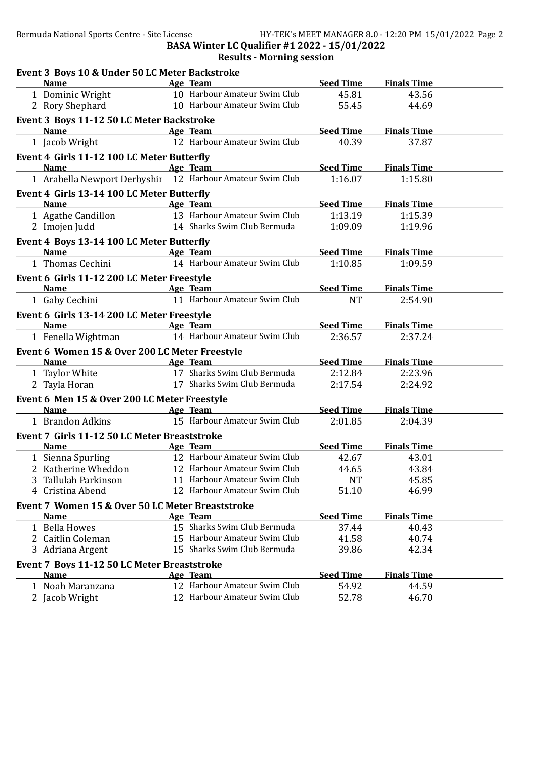## BASA Winter LC Qualifier #1 2022 - 15/01/2022 Results - Morning session

| Seed Time<br><b>Finals Time</b><br><b>Name</b><br>Age Team<br>1 Dominic Wright 10 Harbour Amateur Swim Club<br>45.81<br>43.56<br>10 Harbour Amateur Swim Club<br>2 Rory Shephard<br>55.45<br>44.69<br>Event 3 Boys 11-12 50 LC Meter Backstroke<br><b>Seed Time</b><br><b>Finals Time</b><br><b>Name</b><br>Age Team<br><u> 1980 - Johann Barbara, martin a</u><br>12 Harbour Amateur Swim Club<br>1 Jacob Wright<br>40.39<br>37.87<br>Event 4 Girls 11-12 100 LC Meter Butterfly<br><b>Seed Time</b><br><b>Example 2</b> Age Team<br><b>Finals Time</b><br><b>Name</b><br>1 Arabella Newport Derbyshir 12 Harbour Amateur Swim Club<br>1:16.07<br>1:15.80<br>Event 4 Girls 13-14 100 LC Meter Butterfly<br><b>Example 2 Age Team</b><br>Seed Time<br><b>Finals Time</b><br><b>Name</b><br>1 Agathe Candillon 13 Harbour Amateur Swim Club<br>1:13.19<br>1:15.39<br>14 Sharks Swim Club Bermuda<br>1:09.09<br>2 Imojen Judd<br>1:19.96<br>Event 4 Boys 13-14 100 LC Meter Butterfly<br><b>Seed Time</b><br>Name Age Team<br><b>Finals Time</b><br>1 Thomas Cechini 14 Harbour Amateur Swim Club<br>1:10.85<br>1:09.59<br>Event 6 Girls 11-12 200 LC Meter Freestyle<br><b>Seed Time</b><br>Name<br><b>Finals Time</b><br>Age Team<br>11 Harbour Amateur Swim Club<br><b>NT</b><br>1 Gaby Cechini<br>2:54.90<br>Event 6 Girls 13-14 200 LC Meter Freestyle<br><b>Seed Time</b><br><b>Finals Time</b><br>Age Team<br><b>Name</b><br><u> 1980 - Johann Barbara, martxa eta politikar</u><br>the control of the control of the control of<br>14 Harbour Amateur Swim Club<br>1 Fenella Wightman<br>2:36.57<br>2:37.24<br>Event 6 Women 15 & Over 200 LC Meter Freestyle<br>Seed Time<br><b>Example 2016</b> Age Team<br><b>Finals Time</b><br><b>Name</b><br>17 Sharks Swim Club Bermuda<br>1 Taylor White<br>2:12.84<br>2:23.96<br>17 Sharks Swim Club Bermuda<br>2:17.54<br>2 Tayla Horan<br>2:24.92<br>Event 6 Men 15 & Over 200 LC Meter Freestyle<br>Name Age Team<br><b>Seed Time</b><br><b>Finals Time</b><br>15 Harbour Amateur Swim Club<br>1 Brandon Adkins<br>2:01.85<br>2:04.39<br>Event 7 Girls 11-12 50 LC Meter Breaststroke<br><b>Example 2</b> Age Team<br><b>Seed Time</b><br><b>Finals Time</b><br><b>Name</b><br>12 Harbour Amateur Swim Club<br>1 Sienna Spurling<br>42.67<br>43.01<br>2 Katherine Wheddon 12 Harbour Amateur Swim Club<br>44.65<br>43.84<br>11 Harbour Amateur Swim Club<br>3 Tallulah Parkinson<br><b>NT</b><br>45.85<br>12 Harbour Amateur Swim Club<br>51.10<br>46.99<br>4 Cristina Abend<br>Event 7 Women 15 & Over 50 LC Meter Breaststroke<br><b>Seed Time</b><br><b>Finals Time</b><br>Name<br>Age Team<br>15 Sharks Swim Club Bermuda<br>1 Bella Howes<br>37.44<br>40.43<br>15 Harbour Amateur Swim Club<br>2 Caitlin Coleman<br>41.58<br>40.74<br>15 Sharks Swim Club Bermuda<br>3 Adriana Argent<br>42.34<br>39.86<br>Event 7 Boys 11-12 50 LC Meter Breaststroke<br><b>Seed Time</b><br><b>Finals Time</b><br><b>Name</b><br>Age Team<br>12 Harbour Amateur Swim Club<br>1 Noah Maranzana<br>54.92<br>44.59<br>12 Harbour Amateur Swim Club<br>2 Jacob Wright<br>52.78<br>46.70 | Event 3 Boys 10 & Under 50 LC Meter Backstroke |  |  |  |
|------------------------------------------------------------------------------------------------------------------------------------------------------------------------------------------------------------------------------------------------------------------------------------------------------------------------------------------------------------------------------------------------------------------------------------------------------------------------------------------------------------------------------------------------------------------------------------------------------------------------------------------------------------------------------------------------------------------------------------------------------------------------------------------------------------------------------------------------------------------------------------------------------------------------------------------------------------------------------------------------------------------------------------------------------------------------------------------------------------------------------------------------------------------------------------------------------------------------------------------------------------------------------------------------------------------------------------------------------------------------------------------------------------------------------------------------------------------------------------------------------------------------------------------------------------------------------------------------------------------------------------------------------------------------------------------------------------------------------------------------------------------------------------------------------------------------------------------------------------------------------------------------------------------------------------------------------------------------------------------------------------------------------------------------------------------------------------------------------------------------------------------------------------------------------------------------------------------------------------------------------------------------------------------------------------------------------------------------------------------------------------------------------------------------------------------------------------------------------------------------------------------------------------------------------------------------------------------------------------------------------------------------------------------------------------------------------------------------------------------------------------------------------------------------------------------------------------------------------------------------------------------------------------------------------------------------------------------------------------------------------------------------------------------------------------------------------------------------------------------------------|------------------------------------------------|--|--|--|
|                                                                                                                                                                                                                                                                                                                                                                                                                                                                                                                                                                                                                                                                                                                                                                                                                                                                                                                                                                                                                                                                                                                                                                                                                                                                                                                                                                                                                                                                                                                                                                                                                                                                                                                                                                                                                                                                                                                                                                                                                                                                                                                                                                                                                                                                                                                                                                                                                                                                                                                                                                                                                                                                                                                                                                                                                                                                                                                                                                                                                                                                                                                              |                                                |  |  |  |
|                                                                                                                                                                                                                                                                                                                                                                                                                                                                                                                                                                                                                                                                                                                                                                                                                                                                                                                                                                                                                                                                                                                                                                                                                                                                                                                                                                                                                                                                                                                                                                                                                                                                                                                                                                                                                                                                                                                                                                                                                                                                                                                                                                                                                                                                                                                                                                                                                                                                                                                                                                                                                                                                                                                                                                                                                                                                                                                                                                                                                                                                                                                              |                                                |  |  |  |
|                                                                                                                                                                                                                                                                                                                                                                                                                                                                                                                                                                                                                                                                                                                                                                                                                                                                                                                                                                                                                                                                                                                                                                                                                                                                                                                                                                                                                                                                                                                                                                                                                                                                                                                                                                                                                                                                                                                                                                                                                                                                                                                                                                                                                                                                                                                                                                                                                                                                                                                                                                                                                                                                                                                                                                                                                                                                                                                                                                                                                                                                                                                              |                                                |  |  |  |
|                                                                                                                                                                                                                                                                                                                                                                                                                                                                                                                                                                                                                                                                                                                                                                                                                                                                                                                                                                                                                                                                                                                                                                                                                                                                                                                                                                                                                                                                                                                                                                                                                                                                                                                                                                                                                                                                                                                                                                                                                                                                                                                                                                                                                                                                                                                                                                                                                                                                                                                                                                                                                                                                                                                                                                                                                                                                                                                                                                                                                                                                                                                              |                                                |  |  |  |
|                                                                                                                                                                                                                                                                                                                                                                                                                                                                                                                                                                                                                                                                                                                                                                                                                                                                                                                                                                                                                                                                                                                                                                                                                                                                                                                                                                                                                                                                                                                                                                                                                                                                                                                                                                                                                                                                                                                                                                                                                                                                                                                                                                                                                                                                                                                                                                                                                                                                                                                                                                                                                                                                                                                                                                                                                                                                                                                                                                                                                                                                                                                              |                                                |  |  |  |
|                                                                                                                                                                                                                                                                                                                                                                                                                                                                                                                                                                                                                                                                                                                                                                                                                                                                                                                                                                                                                                                                                                                                                                                                                                                                                                                                                                                                                                                                                                                                                                                                                                                                                                                                                                                                                                                                                                                                                                                                                                                                                                                                                                                                                                                                                                                                                                                                                                                                                                                                                                                                                                                                                                                                                                                                                                                                                                                                                                                                                                                                                                                              |                                                |  |  |  |
|                                                                                                                                                                                                                                                                                                                                                                                                                                                                                                                                                                                                                                                                                                                                                                                                                                                                                                                                                                                                                                                                                                                                                                                                                                                                                                                                                                                                                                                                                                                                                                                                                                                                                                                                                                                                                                                                                                                                                                                                                                                                                                                                                                                                                                                                                                                                                                                                                                                                                                                                                                                                                                                                                                                                                                                                                                                                                                                                                                                                                                                                                                                              |                                                |  |  |  |
|                                                                                                                                                                                                                                                                                                                                                                                                                                                                                                                                                                                                                                                                                                                                                                                                                                                                                                                                                                                                                                                                                                                                                                                                                                                                                                                                                                                                                                                                                                                                                                                                                                                                                                                                                                                                                                                                                                                                                                                                                                                                                                                                                                                                                                                                                                                                                                                                                                                                                                                                                                                                                                                                                                                                                                                                                                                                                                                                                                                                                                                                                                                              |                                                |  |  |  |
|                                                                                                                                                                                                                                                                                                                                                                                                                                                                                                                                                                                                                                                                                                                                                                                                                                                                                                                                                                                                                                                                                                                                                                                                                                                                                                                                                                                                                                                                                                                                                                                                                                                                                                                                                                                                                                                                                                                                                                                                                                                                                                                                                                                                                                                                                                                                                                                                                                                                                                                                                                                                                                                                                                                                                                                                                                                                                                                                                                                                                                                                                                                              |                                                |  |  |  |
|                                                                                                                                                                                                                                                                                                                                                                                                                                                                                                                                                                                                                                                                                                                                                                                                                                                                                                                                                                                                                                                                                                                                                                                                                                                                                                                                                                                                                                                                                                                                                                                                                                                                                                                                                                                                                                                                                                                                                                                                                                                                                                                                                                                                                                                                                                                                                                                                                                                                                                                                                                                                                                                                                                                                                                                                                                                                                                                                                                                                                                                                                                                              |                                                |  |  |  |
|                                                                                                                                                                                                                                                                                                                                                                                                                                                                                                                                                                                                                                                                                                                                                                                                                                                                                                                                                                                                                                                                                                                                                                                                                                                                                                                                                                                                                                                                                                                                                                                                                                                                                                                                                                                                                                                                                                                                                                                                                                                                                                                                                                                                                                                                                                                                                                                                                                                                                                                                                                                                                                                                                                                                                                                                                                                                                                                                                                                                                                                                                                                              |                                                |  |  |  |
|                                                                                                                                                                                                                                                                                                                                                                                                                                                                                                                                                                                                                                                                                                                                                                                                                                                                                                                                                                                                                                                                                                                                                                                                                                                                                                                                                                                                                                                                                                                                                                                                                                                                                                                                                                                                                                                                                                                                                                                                                                                                                                                                                                                                                                                                                                                                                                                                                                                                                                                                                                                                                                                                                                                                                                                                                                                                                                                                                                                                                                                                                                                              |                                                |  |  |  |
|                                                                                                                                                                                                                                                                                                                                                                                                                                                                                                                                                                                                                                                                                                                                                                                                                                                                                                                                                                                                                                                                                                                                                                                                                                                                                                                                                                                                                                                                                                                                                                                                                                                                                                                                                                                                                                                                                                                                                                                                                                                                                                                                                                                                                                                                                                                                                                                                                                                                                                                                                                                                                                                                                                                                                                                                                                                                                                                                                                                                                                                                                                                              |                                                |  |  |  |
|                                                                                                                                                                                                                                                                                                                                                                                                                                                                                                                                                                                                                                                                                                                                                                                                                                                                                                                                                                                                                                                                                                                                                                                                                                                                                                                                                                                                                                                                                                                                                                                                                                                                                                                                                                                                                                                                                                                                                                                                                                                                                                                                                                                                                                                                                                                                                                                                                                                                                                                                                                                                                                                                                                                                                                                                                                                                                                                                                                                                                                                                                                                              |                                                |  |  |  |
|                                                                                                                                                                                                                                                                                                                                                                                                                                                                                                                                                                                                                                                                                                                                                                                                                                                                                                                                                                                                                                                                                                                                                                                                                                                                                                                                                                                                                                                                                                                                                                                                                                                                                                                                                                                                                                                                                                                                                                                                                                                                                                                                                                                                                                                                                                                                                                                                                                                                                                                                                                                                                                                                                                                                                                                                                                                                                                                                                                                                                                                                                                                              |                                                |  |  |  |
|                                                                                                                                                                                                                                                                                                                                                                                                                                                                                                                                                                                                                                                                                                                                                                                                                                                                                                                                                                                                                                                                                                                                                                                                                                                                                                                                                                                                                                                                                                                                                                                                                                                                                                                                                                                                                                                                                                                                                                                                                                                                                                                                                                                                                                                                                                                                                                                                                                                                                                                                                                                                                                                                                                                                                                                                                                                                                                                                                                                                                                                                                                                              |                                                |  |  |  |
|                                                                                                                                                                                                                                                                                                                                                                                                                                                                                                                                                                                                                                                                                                                                                                                                                                                                                                                                                                                                                                                                                                                                                                                                                                                                                                                                                                                                                                                                                                                                                                                                                                                                                                                                                                                                                                                                                                                                                                                                                                                                                                                                                                                                                                                                                                                                                                                                                                                                                                                                                                                                                                                                                                                                                                                                                                                                                                                                                                                                                                                                                                                              |                                                |  |  |  |
|                                                                                                                                                                                                                                                                                                                                                                                                                                                                                                                                                                                                                                                                                                                                                                                                                                                                                                                                                                                                                                                                                                                                                                                                                                                                                                                                                                                                                                                                                                                                                                                                                                                                                                                                                                                                                                                                                                                                                                                                                                                                                                                                                                                                                                                                                                                                                                                                                                                                                                                                                                                                                                                                                                                                                                                                                                                                                                                                                                                                                                                                                                                              |                                                |  |  |  |
|                                                                                                                                                                                                                                                                                                                                                                                                                                                                                                                                                                                                                                                                                                                                                                                                                                                                                                                                                                                                                                                                                                                                                                                                                                                                                                                                                                                                                                                                                                                                                                                                                                                                                                                                                                                                                                                                                                                                                                                                                                                                                                                                                                                                                                                                                                                                                                                                                                                                                                                                                                                                                                                                                                                                                                                                                                                                                                                                                                                                                                                                                                                              |                                                |  |  |  |
|                                                                                                                                                                                                                                                                                                                                                                                                                                                                                                                                                                                                                                                                                                                                                                                                                                                                                                                                                                                                                                                                                                                                                                                                                                                                                                                                                                                                                                                                                                                                                                                                                                                                                                                                                                                                                                                                                                                                                                                                                                                                                                                                                                                                                                                                                                                                                                                                                                                                                                                                                                                                                                                                                                                                                                                                                                                                                                                                                                                                                                                                                                                              |                                                |  |  |  |
|                                                                                                                                                                                                                                                                                                                                                                                                                                                                                                                                                                                                                                                                                                                                                                                                                                                                                                                                                                                                                                                                                                                                                                                                                                                                                                                                                                                                                                                                                                                                                                                                                                                                                                                                                                                                                                                                                                                                                                                                                                                                                                                                                                                                                                                                                                                                                                                                                                                                                                                                                                                                                                                                                                                                                                                                                                                                                                                                                                                                                                                                                                                              |                                                |  |  |  |
|                                                                                                                                                                                                                                                                                                                                                                                                                                                                                                                                                                                                                                                                                                                                                                                                                                                                                                                                                                                                                                                                                                                                                                                                                                                                                                                                                                                                                                                                                                                                                                                                                                                                                                                                                                                                                                                                                                                                                                                                                                                                                                                                                                                                                                                                                                                                                                                                                                                                                                                                                                                                                                                                                                                                                                                                                                                                                                                                                                                                                                                                                                                              |                                                |  |  |  |
|                                                                                                                                                                                                                                                                                                                                                                                                                                                                                                                                                                                                                                                                                                                                                                                                                                                                                                                                                                                                                                                                                                                                                                                                                                                                                                                                                                                                                                                                                                                                                                                                                                                                                                                                                                                                                                                                                                                                                                                                                                                                                                                                                                                                                                                                                                                                                                                                                                                                                                                                                                                                                                                                                                                                                                                                                                                                                                                                                                                                                                                                                                                              |                                                |  |  |  |
|                                                                                                                                                                                                                                                                                                                                                                                                                                                                                                                                                                                                                                                                                                                                                                                                                                                                                                                                                                                                                                                                                                                                                                                                                                                                                                                                                                                                                                                                                                                                                                                                                                                                                                                                                                                                                                                                                                                                                                                                                                                                                                                                                                                                                                                                                                                                                                                                                                                                                                                                                                                                                                                                                                                                                                                                                                                                                                                                                                                                                                                                                                                              |                                                |  |  |  |
|                                                                                                                                                                                                                                                                                                                                                                                                                                                                                                                                                                                                                                                                                                                                                                                                                                                                                                                                                                                                                                                                                                                                                                                                                                                                                                                                                                                                                                                                                                                                                                                                                                                                                                                                                                                                                                                                                                                                                                                                                                                                                                                                                                                                                                                                                                                                                                                                                                                                                                                                                                                                                                                                                                                                                                                                                                                                                                                                                                                                                                                                                                                              |                                                |  |  |  |
|                                                                                                                                                                                                                                                                                                                                                                                                                                                                                                                                                                                                                                                                                                                                                                                                                                                                                                                                                                                                                                                                                                                                                                                                                                                                                                                                                                                                                                                                                                                                                                                                                                                                                                                                                                                                                                                                                                                                                                                                                                                                                                                                                                                                                                                                                                                                                                                                                                                                                                                                                                                                                                                                                                                                                                                                                                                                                                                                                                                                                                                                                                                              |                                                |  |  |  |
|                                                                                                                                                                                                                                                                                                                                                                                                                                                                                                                                                                                                                                                                                                                                                                                                                                                                                                                                                                                                                                                                                                                                                                                                                                                                                                                                                                                                                                                                                                                                                                                                                                                                                                                                                                                                                                                                                                                                                                                                                                                                                                                                                                                                                                                                                                                                                                                                                                                                                                                                                                                                                                                                                                                                                                                                                                                                                                                                                                                                                                                                                                                              |                                                |  |  |  |
|                                                                                                                                                                                                                                                                                                                                                                                                                                                                                                                                                                                                                                                                                                                                                                                                                                                                                                                                                                                                                                                                                                                                                                                                                                                                                                                                                                                                                                                                                                                                                                                                                                                                                                                                                                                                                                                                                                                                                                                                                                                                                                                                                                                                                                                                                                                                                                                                                                                                                                                                                                                                                                                                                                                                                                                                                                                                                                                                                                                                                                                                                                                              |                                                |  |  |  |
|                                                                                                                                                                                                                                                                                                                                                                                                                                                                                                                                                                                                                                                                                                                                                                                                                                                                                                                                                                                                                                                                                                                                                                                                                                                                                                                                                                                                                                                                                                                                                                                                                                                                                                                                                                                                                                                                                                                                                                                                                                                                                                                                                                                                                                                                                                                                                                                                                                                                                                                                                                                                                                                                                                                                                                                                                                                                                                                                                                                                                                                                                                                              |                                                |  |  |  |
|                                                                                                                                                                                                                                                                                                                                                                                                                                                                                                                                                                                                                                                                                                                                                                                                                                                                                                                                                                                                                                                                                                                                                                                                                                                                                                                                                                                                                                                                                                                                                                                                                                                                                                                                                                                                                                                                                                                                                                                                                                                                                                                                                                                                                                                                                                                                                                                                                                                                                                                                                                                                                                                                                                                                                                                                                                                                                                                                                                                                                                                                                                                              |                                                |  |  |  |
|                                                                                                                                                                                                                                                                                                                                                                                                                                                                                                                                                                                                                                                                                                                                                                                                                                                                                                                                                                                                                                                                                                                                                                                                                                                                                                                                                                                                                                                                                                                                                                                                                                                                                                                                                                                                                                                                                                                                                                                                                                                                                                                                                                                                                                                                                                                                                                                                                                                                                                                                                                                                                                                                                                                                                                                                                                                                                                                                                                                                                                                                                                                              |                                                |  |  |  |
|                                                                                                                                                                                                                                                                                                                                                                                                                                                                                                                                                                                                                                                                                                                                                                                                                                                                                                                                                                                                                                                                                                                                                                                                                                                                                                                                                                                                                                                                                                                                                                                                                                                                                                                                                                                                                                                                                                                                                                                                                                                                                                                                                                                                                                                                                                                                                                                                                                                                                                                                                                                                                                                                                                                                                                                                                                                                                                                                                                                                                                                                                                                              |                                                |  |  |  |
|                                                                                                                                                                                                                                                                                                                                                                                                                                                                                                                                                                                                                                                                                                                                                                                                                                                                                                                                                                                                                                                                                                                                                                                                                                                                                                                                                                                                                                                                                                                                                                                                                                                                                                                                                                                                                                                                                                                                                                                                                                                                                                                                                                                                                                                                                                                                                                                                                                                                                                                                                                                                                                                                                                                                                                                                                                                                                                                                                                                                                                                                                                                              |                                                |  |  |  |
|                                                                                                                                                                                                                                                                                                                                                                                                                                                                                                                                                                                                                                                                                                                                                                                                                                                                                                                                                                                                                                                                                                                                                                                                                                                                                                                                                                                                                                                                                                                                                                                                                                                                                                                                                                                                                                                                                                                                                                                                                                                                                                                                                                                                                                                                                                                                                                                                                                                                                                                                                                                                                                                                                                                                                                                                                                                                                                                                                                                                                                                                                                                              |                                                |  |  |  |
|                                                                                                                                                                                                                                                                                                                                                                                                                                                                                                                                                                                                                                                                                                                                                                                                                                                                                                                                                                                                                                                                                                                                                                                                                                                                                                                                                                                                                                                                                                                                                                                                                                                                                                                                                                                                                                                                                                                                                                                                                                                                                                                                                                                                                                                                                                                                                                                                                                                                                                                                                                                                                                                                                                                                                                                                                                                                                                                                                                                                                                                                                                                              |                                                |  |  |  |
|                                                                                                                                                                                                                                                                                                                                                                                                                                                                                                                                                                                                                                                                                                                                                                                                                                                                                                                                                                                                                                                                                                                                                                                                                                                                                                                                                                                                                                                                                                                                                                                                                                                                                                                                                                                                                                                                                                                                                                                                                                                                                                                                                                                                                                                                                                                                                                                                                                                                                                                                                                                                                                                                                                                                                                                                                                                                                                                                                                                                                                                                                                                              |                                                |  |  |  |
|                                                                                                                                                                                                                                                                                                                                                                                                                                                                                                                                                                                                                                                                                                                                                                                                                                                                                                                                                                                                                                                                                                                                                                                                                                                                                                                                                                                                                                                                                                                                                                                                                                                                                                                                                                                                                                                                                                                                                                                                                                                                                                                                                                                                                                                                                                                                                                                                                                                                                                                                                                                                                                                                                                                                                                                                                                                                                                                                                                                                                                                                                                                              |                                                |  |  |  |
|                                                                                                                                                                                                                                                                                                                                                                                                                                                                                                                                                                                                                                                                                                                                                                                                                                                                                                                                                                                                                                                                                                                                                                                                                                                                                                                                                                                                                                                                                                                                                                                                                                                                                                                                                                                                                                                                                                                                                                                                                                                                                                                                                                                                                                                                                                                                                                                                                                                                                                                                                                                                                                                                                                                                                                                                                                                                                                                                                                                                                                                                                                                              |                                                |  |  |  |
|                                                                                                                                                                                                                                                                                                                                                                                                                                                                                                                                                                                                                                                                                                                                                                                                                                                                                                                                                                                                                                                                                                                                                                                                                                                                                                                                                                                                                                                                                                                                                                                                                                                                                                                                                                                                                                                                                                                                                                                                                                                                                                                                                                                                                                                                                                                                                                                                                                                                                                                                                                                                                                                                                                                                                                                                                                                                                                                                                                                                                                                                                                                              |                                                |  |  |  |
|                                                                                                                                                                                                                                                                                                                                                                                                                                                                                                                                                                                                                                                                                                                                                                                                                                                                                                                                                                                                                                                                                                                                                                                                                                                                                                                                                                                                                                                                                                                                                                                                                                                                                                                                                                                                                                                                                                                                                                                                                                                                                                                                                                                                                                                                                                                                                                                                                                                                                                                                                                                                                                                                                                                                                                                                                                                                                                                                                                                                                                                                                                                              |                                                |  |  |  |
|                                                                                                                                                                                                                                                                                                                                                                                                                                                                                                                                                                                                                                                                                                                                                                                                                                                                                                                                                                                                                                                                                                                                                                                                                                                                                                                                                                                                                                                                                                                                                                                                                                                                                                                                                                                                                                                                                                                                                                                                                                                                                                                                                                                                                                                                                                                                                                                                                                                                                                                                                                                                                                                                                                                                                                                                                                                                                                                                                                                                                                                                                                                              |                                                |  |  |  |
|                                                                                                                                                                                                                                                                                                                                                                                                                                                                                                                                                                                                                                                                                                                                                                                                                                                                                                                                                                                                                                                                                                                                                                                                                                                                                                                                                                                                                                                                                                                                                                                                                                                                                                                                                                                                                                                                                                                                                                                                                                                                                                                                                                                                                                                                                                                                                                                                                                                                                                                                                                                                                                                                                                                                                                                                                                                                                                                                                                                                                                                                                                                              |                                                |  |  |  |
|                                                                                                                                                                                                                                                                                                                                                                                                                                                                                                                                                                                                                                                                                                                                                                                                                                                                                                                                                                                                                                                                                                                                                                                                                                                                                                                                                                                                                                                                                                                                                                                                                                                                                                                                                                                                                                                                                                                                                                                                                                                                                                                                                                                                                                                                                                                                                                                                                                                                                                                                                                                                                                                                                                                                                                                                                                                                                                                                                                                                                                                                                                                              |                                                |  |  |  |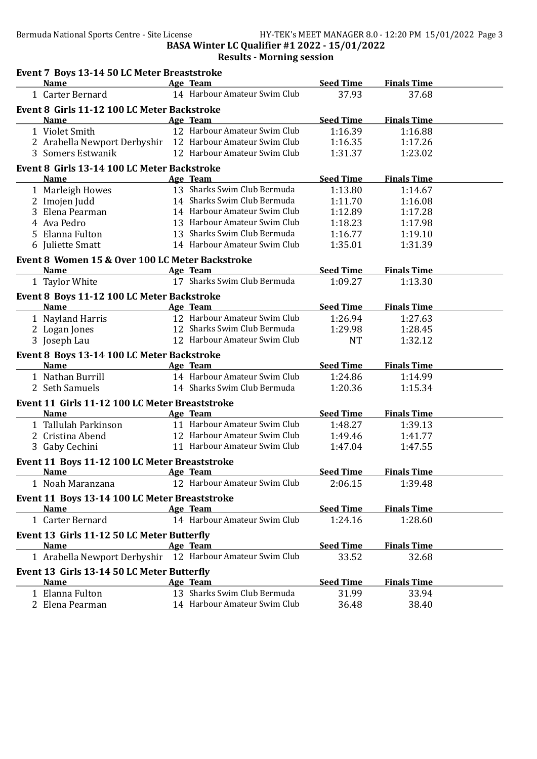Results - Morning session

| Event 7 Boys 13-14 50 LC Meter Breaststroke                  |                              |                  |                              |  |
|--------------------------------------------------------------|------------------------------|------------------|------------------------------|--|
| <b>Name</b>                                                  | Age Team                     | <b>Seed Time</b> | <b>Finals Time</b>           |  |
| 1 Carter Bernard                                             | 14 Harbour Amateur Swim Club | 37.93            | 37.68                        |  |
| Event 8 Girls 11-12 100 LC Meter Backstroke                  |                              |                  |                              |  |
| <b>Name</b>                                                  | Age Team                     | <b>Seed Time</b> | <b>Finals Time</b>           |  |
| 1 Violet Smith                                               | 12 Harbour Amateur Swim Club | 1:16.39          | 1:16.88                      |  |
| 2 Arabella Newport Derbyshir 12 Harbour Amateur Swim Club    |                              | 1:16.35          | 1:17.26                      |  |
| 3 Somers Estwanik                                            | 12 Harbour Amateur Swim Club | 1:31.37          | 1:23.02                      |  |
| Event 8 Girls 13-14 100 LC Meter Backstroke                  |                              |                  |                              |  |
| <b>Name</b>                                                  | Age Team                     | <b>Seed Time</b> | <b>Finals Time</b>           |  |
| 1 Marleigh Howes                                             | 13 Sharks Swim Club Bermuda  | 1:13.80          | 1:14.67                      |  |
| 2 Imojen Judd                                                | 14 Sharks Swim Club Bermuda  | 1:11.70          | 1:16.08                      |  |
| 3 Elena Pearman                                              | 14 Harbour Amateur Swim Club | 1:12.89          | 1:17.28                      |  |
| 4 Ava Pedro                                                  | 13 Harbour Amateur Swim Club | 1:18.23          | 1:17.98                      |  |
| 5 Elanna Fulton                                              | 13 Sharks Swim Club Bermuda  | 1:16.77          | 1:19.10                      |  |
| 6 Juliette Smatt                                             | 14 Harbour Amateur Swim Club | 1:35.01          | 1:31.39                      |  |
| Event 8 Women 15 & Over 100 LC Meter Backstroke              |                              |                  |                              |  |
| <b>Example 2</b> Age Team<br><b>Name</b>                     |                              | <b>Seed Time</b> | <b>Finals Time</b>           |  |
| 1 Taylor White                                               | 17 Sharks Swim Club Bermuda  | 1:09.27          | 1:13.30                      |  |
|                                                              |                              |                  |                              |  |
| Event 8 Boys 11-12 100 LC Meter Backstroke<br><b>Name</b>    | Age Team                     | <b>Seed Time</b> | <b>Finals Time</b>           |  |
|                                                              | 12 Harbour Amateur Swim Club | 1:26.94          | 1:27.63                      |  |
| 1 Nayland Harris                                             | 12 Sharks Swim Club Bermuda  | 1:29.98          | 1:28.45                      |  |
| 2 Logan Jones                                                | 12 Harbour Amateur Swim Club | <b>NT</b>        |                              |  |
| 3 Joseph Lau                                                 |                              |                  | 1:32.12                      |  |
| Event 8 Boys 13-14 100 LC Meter Backstroke                   |                              |                  |                              |  |
| <b>Name</b>                                                  | Age Team                     | <b>Seed Time</b> | <b>Finals Time</b>           |  |
| 1 Nathan Burrill                                             | 14 Harbour Amateur Swim Club | 1:24.86          | 1:14.99                      |  |
| 2 Seth Samuels                                               | 14 Sharks Swim Club Bermuda  | 1:20.36          | 1:15.34                      |  |
| Event 11 Girls 11-12 100 LC Meter Breaststroke               |                              |                  |                              |  |
| <b>Name</b>                                                  | Age Team                     | <b>Seed Time</b> | <b>Finals Time</b>           |  |
| 1 Tallulah Parkinson                                         | 11 Harbour Amateur Swim Club | 1:48.27          | 1:39.13                      |  |
| 2 Cristina Abend                                             | 12 Harbour Amateur Swim Club | 1:49.46          | 1:41.77                      |  |
| 3 Gaby Cechini                                               | 11 Harbour Amateur Swim Club | 1:47.04          | 1:47.55                      |  |
| Event 11 Boys 11-12 100 LC Meter Breaststroke                |                              |                  |                              |  |
| Name Age Team                                                |                              |                  | <b>Seed Time</b> Finals Time |  |
| 1 Noah Maranzana                                             | 12 Harbour Amateur Swim Club | 2:06.15          | 1:39.48                      |  |
|                                                              |                              |                  |                              |  |
| Event 11 Boys 13-14 100 LC Meter Breaststroke<br><b>Name</b> | Age Team                     | <b>Seed Time</b> | <b>Finals Time</b>           |  |
| 1 Carter Bernard                                             | 14 Harbour Amateur Swim Club | 1:24.16          | 1:28.60                      |  |
|                                                              |                              |                  |                              |  |
| Event 13 Girls 11-12 50 LC Meter Butterfly                   |                              |                  |                              |  |
| <u>Name</u>                                                  | Age Team                     | <b>Seed Time</b> | <b>Finals Time</b>           |  |
| 1 Arabella Newport Derbyshir 12 Harbour Amateur Swim Club    |                              | 33.52            | 32.68                        |  |
| Event 13 Girls 13-14 50 LC Meter Butterfly                   |                              |                  |                              |  |
| <b>Name</b>                                                  | Age Team                     | <b>Seed Time</b> | <b>Finals Time</b>           |  |
| 1 Elanna Fulton                                              | 13 Sharks Swim Club Bermuda  | 31.99            | 33.94                        |  |
| 2 Elena Pearman                                              | 14 Harbour Amateur Swim Club | 36.48            | 38.40                        |  |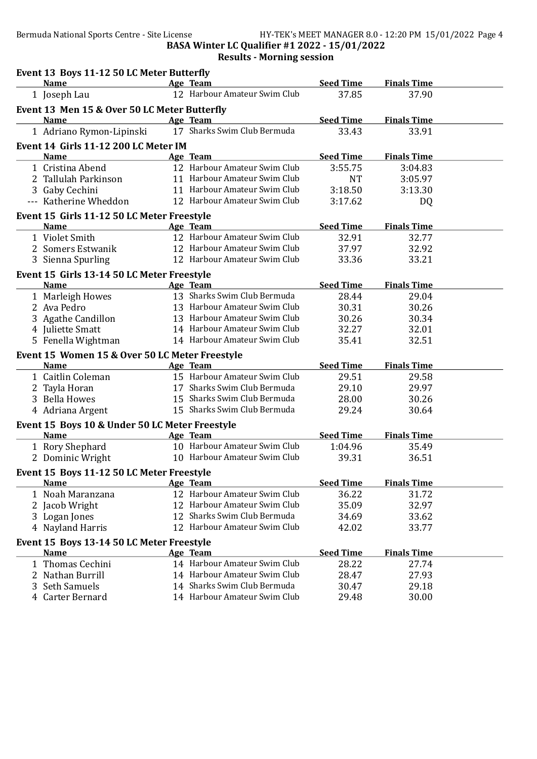Results - Morning session

| Event 13 Boys 11-12 50 LC Meter Butterfly      |                              |                  |                    |
|------------------------------------------------|------------------------------|------------------|--------------------|
| Name                                           | Age Team                     | <b>Seed Time</b> | <b>Finals Time</b> |
| 1 Joseph Lau                                   | 12 Harbour Amateur Swim Club | 37.85            | 37.90              |
| Event 13 Men 15 & Over 50 LC Meter Butterfly   |                              |                  |                    |
| <b>Name</b>                                    | Age Team                     | <b>Seed Time</b> | <b>Finals Time</b> |
| 1 Adriano Rymon-Lipinski                       | 17 Sharks Swim Club Bermuda  | 33.43            | 33.91              |
| Event 14 Girls 11-12 200 LC Meter IM           |                              |                  |                    |
| <b>Name</b>                                    | Age Team                     | <b>Seed Time</b> | <b>Finals Time</b> |
| 1 Cristina Abend                               | 12 Harbour Amateur Swim Club | 3:55.75          | 3:04.83            |
| 2 Tallulah Parkinson                           | 11 Harbour Amateur Swim Club | <b>NT</b>        | 3:05.97            |
| 3 Gaby Cechini                                 | 11 Harbour Amateur Swim Club | 3:18.50          | 3:13.30            |
| --- Katherine Wheddon                          | 12 Harbour Amateur Swim Club | 3:17.62          | DQ                 |
| Event 15 Girls 11-12 50 LC Meter Freestyle     |                              |                  |                    |
| <b>Name</b>                                    | <b>Age Team</b>              | <b>Seed Time</b> | <b>Finals Time</b> |
| 1 Violet Smith                                 | 12 Harbour Amateur Swim Club | 32.91            | 32.77              |
| 2 Somers Estwanik                              | 12 Harbour Amateur Swim Club | 37.97            | 32.92              |
| 3 Sienna Spurling                              | 12 Harbour Amateur Swim Club | 33.36            | 33.21              |
| Event 15 Girls 13-14 50 LC Meter Freestyle     |                              |                  |                    |
| <b>Name</b>                                    | Age Team                     | <b>Seed Time</b> | <b>Finals Time</b> |
| 1 Marleigh Howes                               | 13 Sharks Swim Club Bermuda  | 28.44            | 29.04              |
| 2 Ava Pedro                                    | 13 Harbour Amateur Swim Club | 30.31            | 30.26              |
| 3 Agathe Candillon                             | 13 Harbour Amateur Swim Club | 30.26            | 30.34              |
| 4 Juliette Smatt                               | 14 Harbour Amateur Swim Club | 32.27            | 32.01              |
| 5 Fenella Wightman                             | 14 Harbour Amateur Swim Club | 35.41            | 32.51              |
| Event 15 Women 15 & Over 50 LC Meter Freestyle |                              |                  |                    |
| <b>Name</b>                                    | Age Team                     | <b>Seed Time</b> | <b>Finals Time</b> |
| 1 Caitlin Coleman                              | 15 Harbour Amateur Swim Club | 29.51            | 29.58              |
| 2 Tayla Horan                                  | 17 Sharks Swim Club Bermuda  | 29.10            | 29.97              |
| 3 Bella Howes                                  | 15 Sharks Swim Club Bermuda  | 28.00            | 30.26              |
| 4 Adriana Argent                               | 15 Sharks Swim Club Bermuda  | 29.24            | 30.64              |
| Event 15 Boys 10 & Under 50 LC Meter Freestyle |                              |                  |                    |
| <b>Name</b>                                    | Age Team                     | <b>Seed Time</b> | <b>Finals Time</b> |
| 1 Rory Shephard                                | 10 Harbour Amateur Swim Club | 1:04.96          | 35.49              |
| 2 Dominic Wright                               | 10 Harbour Amateur Swim Club | 39.31            | 36.51              |
| Event 15 Boys 11-12 50 LC Meter Freestyle      |                              |                  |                    |
| <b>Name</b>                                    | Age Team                     | <b>Seed Time</b> | <b>Finals Time</b> |
| 1 Noah Maranzana                               | 12 Harbour Amateur Swim Club | 36.22            | 31.72              |
| 2 Jacob Wright                                 | 12 Harbour Amateur Swim Club | 35.09            | 32.97              |
| 3 Logan Jones                                  | 12 Sharks Swim Club Bermuda  | 34.69            | 33.62              |
| 4 Nayland Harris                               | 12 Harbour Amateur Swim Club | 42.02            | 33.77              |
| Event 15 Boys 13-14 50 LC Meter Freestyle      |                              |                  |                    |
| <b>Name</b>                                    | Age Team                     | <b>Seed Time</b> | <b>Finals Time</b> |
| 1 Thomas Cechini                               | 14 Harbour Amateur Swim Club | 28.22            | 27.74              |
| 2 Nathan Burrill                               | 14 Harbour Amateur Swim Club | 28.47            | 27.93              |
| 3 Seth Samuels                                 | 14 Sharks Swim Club Bermuda  | 30.47            | 29.18              |
| 4 Carter Bernard                               | 14 Harbour Amateur Swim Club | 29.48            | 30.00              |
|                                                |                              |                  |                    |